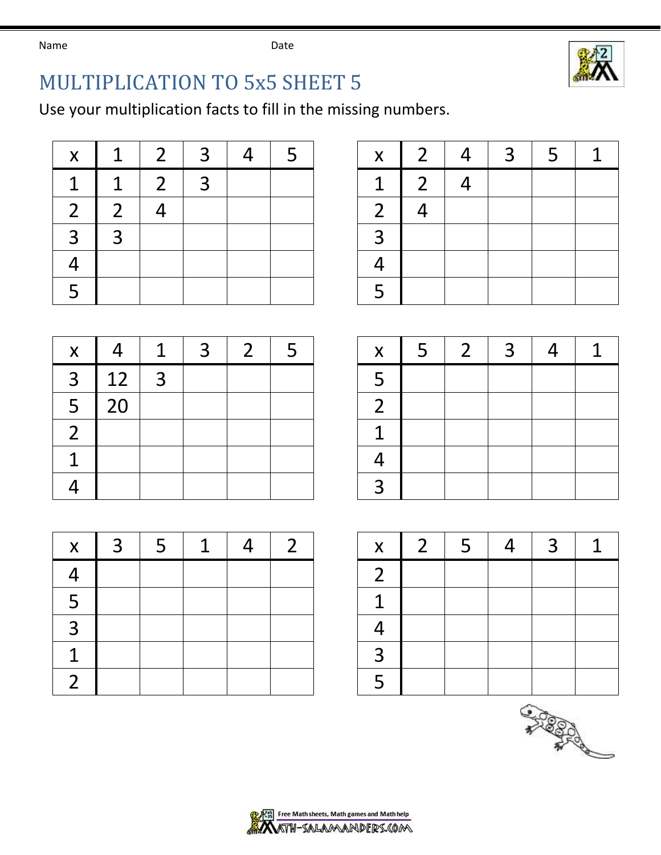Name **Name** Date



## MULTIPLICATION TO 5x5 SHEET 5

Use your multiplication facts to fill in the missing numbers.

| X              | $\mathbf 1$    | $\overline{2}$ | $\overline{3}$ | $\overline{4}$ | -5 | $\mathsf{X}^-$ | 2 <sup>1</sup> | 4              |
|----------------|----------------|----------------|----------------|----------------|----|----------------|----------------|----------------|
| 1              | $\mathbf 1$    | $\overline{2}$ | $\overline{3}$ |                |    | $\mathbf{1}$   | 2 <sup>1</sup> | $\overline{4}$ |
| 2 <sup>1</sup> | $\overline{2}$ |                |                |                |    | $\overline{2}$ |                |                |
| 3              | $\overline{3}$ |                |                |                |    | $\mathbf{R}$   |                |                |
|                |                |                |                |                |    |                |                |                |
| $\overline{5}$ |                |                |                |                |    | 5              |                |                |

| X              | 1             | $\mathcal{P}$ | $\mathcal{R}$ | $\boldsymbol{\varDelta}$ |  | $\mathsf{X}^-$ | 2 <sup>1</sup>           | $\overline{4}$ | 3 <sup>1</sup> | 5. |  |
|----------------|---------------|---------------|---------------|--------------------------|--|----------------|--------------------------|----------------|----------------|----|--|
| $\mathbf 1$    | 1             | C             | $\mathbf{R}$  |                          |  |                | $\overline{\mathcal{L}}$ |                |                |    |  |
| $\overline{2}$ | $\mathcal{D}$ |               |               |                          |  |                |                          |                |                |    |  |
| 3              | っ             |               |               |                          |  |                |                          |                |                |    |  |
| 4              |               |               |               |                          |  |                |                          |                |                |    |  |
| 5              |               |               |               |                          |  |                |                          |                |                |    |  |

| $\boldsymbol{\mathsf{X}}$ |    |                | 3 | $\overline{2}$ | 5 | X              |
|---------------------------|----|----------------|---|----------------|---|----------------|
| 3                         | 12 | $\overline{3}$ |   |                |   | 5              |
| 5                         | 20 |                |   |                |   | $\overline{2}$ |
| $\overline{2}$            |    |                |   |                |   | 1              |
| 1                         |    |                |   |                |   | $\overline{4}$ |
|                           |    |                |   |                |   | 3              |

| $\boldsymbol{\mathsf{X}}$ | $\overline{3}$ | 5 | 1 | $\overline{2}$ | $\overline{\mathsf{X}}$  |
|---------------------------|----------------|---|---|----------------|--------------------------|
| 4                         |                |   |   |                | $\overline{2}$           |
| 5                         |                |   |   |                | $\overline{1}$           |
| 3                         |                |   |   |                | $\overline{\mathcal{A}}$ |
| 1                         |                |   |   |                | $\overline{3}$           |
| $\overline{2}$            |                |   |   |                | $\overline{5}$           |

| X                       |    | ┚            | っ | ∽ | X | ာ | っ |  |
|-------------------------|----|--------------|---|---|---|---|---|--|
| 3                       | 12 | $\mathbf{z}$ |   |   |   |   |   |  |
| 5                       |    |              |   |   |   |   |   |  |
| $\overline{\mathsf{2}}$ |    |              |   |   |   |   |   |  |
| ◀                       |    |              |   |   |   |   |   |  |
| Λ                       |    |              |   |   |   |   |   |  |

| X.                   | $\mathcal{R}$ | 5 | $\mathbf 1$ |  | $\mathsf{X}$ | 2 <sup>1</sup> | 5 | $\overline{4}$ | 3 <sup>1</sup> |  |
|----------------------|---------------|---|-------------|--|--------------|----------------|---|----------------|----------------|--|
| $\overline{\Lambda}$ |               |   |             |  |              |                |   |                |                |  |
| 5                    |               |   |             |  |              |                |   |                |                |  |
| 3                    |               |   |             |  |              |                |   |                |                |  |
| 1                    |               |   |             |  |              |                |   |                |                |  |
| າ                    |               |   |             |  |              |                |   |                |                |  |